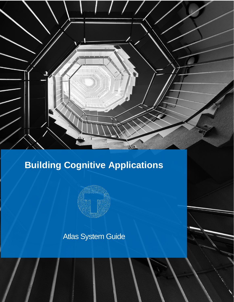

Atlas System Guide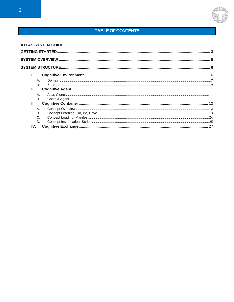### **TABLE OF CONTENTS**

|           | <b>ATLAS SYSTEM GUIDE</b> |  |
|-----------|---------------------------|--|
|           |                           |  |
|           |                           |  |
|           |                           |  |
|           |                           |  |
|           |                           |  |
| <b>B.</b> |                           |  |
| Ш.        |                           |  |
|           |                           |  |
| В.        |                           |  |
| Ш.        |                           |  |
| Α.        |                           |  |
| <b>B.</b> |                           |  |
|           |                           |  |
| D.        |                           |  |
| IV.       |                           |  |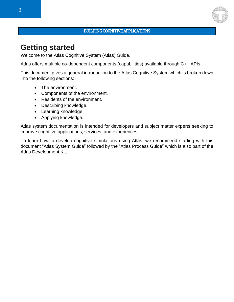#### BUILDING COGNITIVE APPLICATIONS

# <span id="page-2-0"></span>**Getting started**

Welcome to the Atlas Cognitive System (Atlas) Guide.

Atlas offers multiple co-dependent components (capabilities) available through C++ APIs.

This document gives a general introduction to the Atlas Cognitive System which is broken down into the following sections:

- The environment.
- Components of the environment.
- Residents of the environment.
- Describing knowledge.
- Learning knowledge.
- Applying knowledge.

Atlas system documentation is intended for developers and subject matter experts seeking to improve cognitive applications, services, and experiences.

To learn how to develop cognitive simulations using Atlas, we recommend starting with this document "Atlas System Guide" followed by the "Atlas Process Guide" which is also part of the Atlas Development Kit.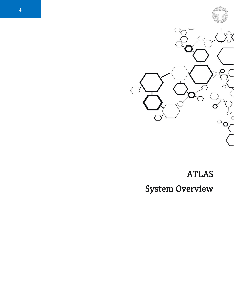

# ATLAS System Overview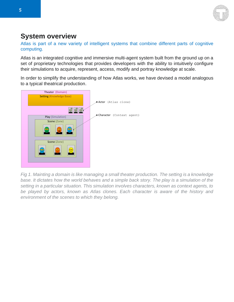

# <span id="page-4-0"></span>**System overview**

Atlas is part of a new variety of intelligent systems that combine different parts of cognitive computing.

Atlas is an integrated cognitive and immersive multi-agent system built from the ground up on a set of proprietary technologies that provides developers with the ability to intuitively configure their simulations to acquire, represent, access, modify and portray knowledge at scale.

In order to simplify the understanding of how Atlas works, we have devised a model analogous to a typical theatrical production.



*Fig 1. Mainting a domain is like managing a small theater production. The setting is a knowledge*  base. It dictates how the world behaves and a simple back story. The play is a simulation of the *setting in a particular situation. This simulation involves characters, known as context agents, to*  be played by actors, known as Atlas clones. Each character is aware of the history and *environment of the scenes to which they belong.*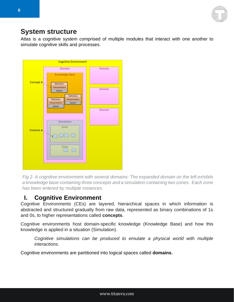

### <span id="page-5-0"></span>**System structure**

Atlas is a cognitive system comprised of multiple modules that interact with one another to simulate cognitive skills and processes.



*Fig 2. A cognitive environment with several domains: The expanded domain on the left exhibits a knowledge base containing three concepts and a simulation containing two zones. Each zone has been entered by multiple instances.*

### <span id="page-5-1"></span>**I. Cognitive Environment**

Cognitive Environments (CEs) are layered, hierarchical spaces in which information is abstracted and structured gradually from raw data, represented as binary combinations of 1s and 0s, to higher representations called **concepts**.

Cognitive environments host domain-specific knowledge (Knowledge Base) and how this knowledge is applied in a situation (Simulation).

*Cognitive simulations can be produced to emulate a physical world with multiple interactions.*

Cognitive environments are partitioned into logical spaces called **domains.**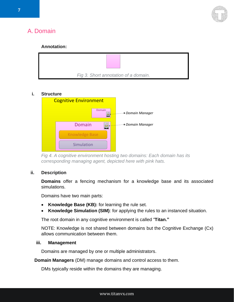

# <span id="page-6-0"></span>A. Domain

#### **Annotation:**



#### **i. Structure**



*Fig 4. A cognitive environment hosting two domains: Each domain has its corresponding managing agent, depicted here with pink hats.*

#### **ii. Description**

**Domains** offer a fencing mechanism for a knowledge base and its associated simulations.

Domains have two main parts:

- **Knowledge Base (KB):** for learning the rule set.
- **Knowledge Simulation (SIM)**: for applying the rules to an instanced situation.

The root domain in any cognitive environment is called "**Titan."**

NOTE: Knowledge is not shared between domains but the Cognitive Exchange (Cx) allows communication between them.

#### **iii. Management**

Domains are managed by one or multiple administrators.

**Domain Managers** (DM) manage domains and control access to them.

DMs typically reside within the domains they are managing.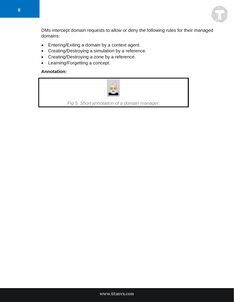

DMs intercept domain requests to allow or deny the following rules for their managed domains:

- Entering/Exiting a domain by a context agent.
- Creating/Destroying a simulation by a reference.
- Creating/Destroying a zone by a reference.
- Learning/Forgetting a concept.

#### **Annotation:**



*Fig 5. Short annotation of a domain manager.*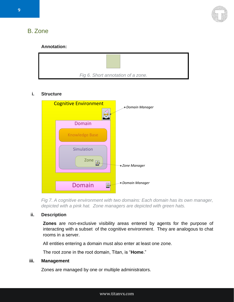

# <span id="page-8-0"></span>B. Zone

#### **Annotation:**



#### **i. Structure**



*Fig 7. A cognitive environment with two domains: Each domain has its own manager, depicted with a pink hat. Zone managers are depicted with green hats.*

#### **ii. Description**

**Zones** are non-exclusive visibility areas entered by agents for the purpose of interacting with a subset of the cognitive environment. They are analogous to chat rooms in a server.

All entities entering a domain must also enter at least one zone.

The root zone in the root domain, Titan, is "**Home**."

#### **iii. Management**

Zones are managed by one or multiple administrators.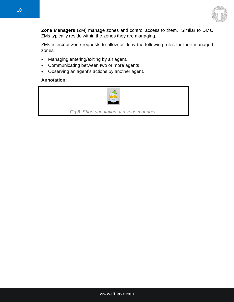

**Zone Managers** (ZM) manage zones and control access to them. Similar to DMs, ZMs typically reside within the zones they are managing.

ZMs intercept zone requests to allow or deny the following rules for their managed zones:

- Managing entering/exiting by an agent.
- Communicating between two or more agents.
- Observing an agent's actions by another agent.

#### **Annotation:**

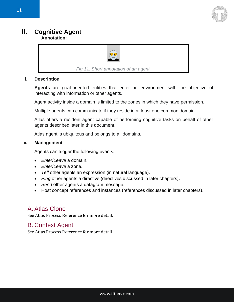

# <span id="page-10-0"></span>**II. Cognitive Agent**

**Annotation:** 



*Fig 11. Short annotation of an agent.*

#### **i. Description**

**Agents** are goal-oriented entities that enter an environment with the objective of interacting with information or other agents.

Agent activity inside a domain is limited to the zones in which they have permission.

Multiple agents can communicate if they reside in at least one common domain.

Atlas offers a resident agent capable of performing cognitive tasks on behalf of other agents described later in this document.

Atlas agent is ubiquitous and belongs to all domains.

#### **ii. Management**

Agents can trigger the following events:

- *Enter*/*Leave* a domain.
- *Enter*/*Leave* a zone.
- *Tell* other agents an expression (in natural language).
- *Ping* other agents a directive (directives discussed in later chapters).
- *Send* other agents a datagram message.
- Host concept references and instances (references discussed in later chapters).

### <span id="page-10-1"></span>A. Atlas Clone

See Atlas Process Reference for more detail.

### <span id="page-10-2"></span>B. Context Agent

See Atlas Process Reference for more detail.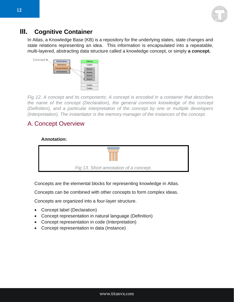

### <span id="page-11-0"></span>**III. Cognitive Container**

In Atlas, a Knowledge Base (KB) is a repository for the underlying states, state changes and state relations representing an idea. This information is encapsulated into a repeatable, multi-layered, abstracting data structure called a knowledge concept, or simply **a concept.**



*Fig 12. A concept and its components: A concept is encoded in a container that describes the name of the concept (Declaration), the general common knowledge of the concept (Definition), and a particular interpretation of the concept by one or multiple developers (Interpretation). The instantiator is the memory manager of the instances of the concept.*

### <span id="page-11-1"></span>A. Concept Overview

#### **Annotation:**



Concepts are the elemental blocks for representing knowledge in Atlas.

Concepts can be combined with other concepts to form complex ideas.

Concepts are organized into a four-layer structure.

- Concept label (Declaration)
- Concept representation in natural language (Definition)
- Concept representation in code (Interpretation)
- Concept representation in data (Instance)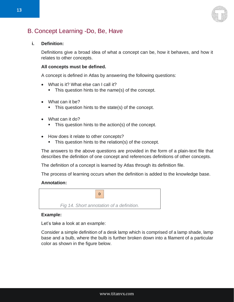

### <span id="page-12-0"></span>B. Concept Learning -Do, Be, Have

#### **i. Definition:**

Definitions give a broad idea of what a concept can be, how it behaves, and how it relates to other concepts.

#### **All concepts must be defined.**

A concept is defined in Atlas by answering the following questions:

- What is it? What else can I call it?
	- This question hints to the name(s) of the concept.
- What can it be?
	- This question hints to the state(s) of the concept.
- What can it do?
	- This question hints to the action(s) of the concept.
- How does it relate to other concepts?
	- **•** This question hints to the relation(s) of the concept.

The answers to the above questions are provided in the form of a plain-text file that describes the definition of one concept and references definitions of other concepts.

The definition of a concept is learned by Atlas through its definition file.

The process of learning occurs when the definition is added to the knowledge base.

#### **Annotation:**



#### **Example:**

Let's take a look at an example:

Consider a simple definition of a desk lamp which is comprised of a lamp shade, lamp base and a bulb, where the bulb is further broken down into a filament of a particular color as shown in the figure below.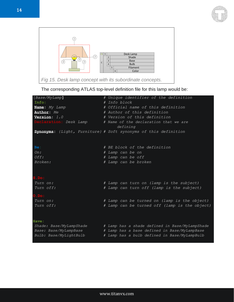



The corresponding ATLAS top-level definition file for this lamp would be:

| [Base/MyLamp]          |  | # Unique identifier of the definition                                  |  |  |  |  |
|------------------------|--|------------------------------------------------------------------------|--|--|--|--|
| Info:                  |  | # Info block                                                           |  |  |  |  |
| Name: My Lamp          |  | # Official name of this definition                                     |  |  |  |  |
| Author: Me             |  | # Author of this definition                                            |  |  |  |  |
| Version: $1.0$         |  | # Version of this definition                                           |  |  |  |  |
| Declaration: Desk Lamp |  | # Name of the declaration that we are                                  |  |  |  |  |
|                        |  | defining                                                               |  |  |  |  |
|                        |  | Synonyms: {Light, Furniture} # Soft synonyms of this definition        |  |  |  |  |
|                        |  |                                                                        |  |  |  |  |
|                        |  |                                                                        |  |  |  |  |
| Be:                    |  | # BE block of the definition                                           |  |  |  |  |
| On:                    |  | # Lamp can be on                                                       |  |  |  |  |
| Off:                   |  | # Lamp can be off                                                      |  |  |  |  |
| Broken:                |  | # Lamp can be broken                                                   |  |  |  |  |
|                        |  |                                                                        |  |  |  |  |
|                        |  |                                                                        |  |  |  |  |
| S.Do:                  |  |                                                                        |  |  |  |  |
| Turn on:               |  | # Lamp can turn on (lamp is the subject)                               |  |  |  |  |
| Turn off:              |  | # Lamp can turn off (lamp is the subject)                              |  |  |  |  |
|                        |  |                                                                        |  |  |  |  |
| $0.D0$ :               |  |                                                                        |  |  |  |  |
| Turn on:               |  | # Lamp can be turned on (lamp is the object)                           |  |  |  |  |
| Turn off:              |  | # Lamp can be turned off (lamp is the object)                          |  |  |  |  |
|                        |  |                                                                        |  |  |  |  |
|                        |  |                                                                        |  |  |  |  |
| Have:                  |  |                                                                        |  |  |  |  |
|                        |  | Shade: Base/MyLampShade # Lamp has a shade defined in Base/MyLampShade |  |  |  |  |
| Base: Base/MyLampBase  |  | # Lamp has a base defined in Base/MyLampBase                           |  |  |  |  |
| Bulb: Base/MyLightBulb |  | # Lamp has a bulb defined in Base/MyLampBulb                           |  |  |  |  |
|                        |  |                                                                        |  |  |  |  |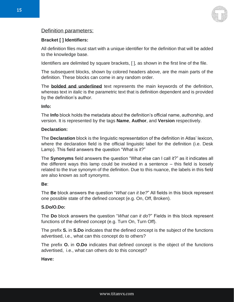

#### Definition parameters:

#### **Bracket [ ] Identifiers:**

All definition files must start with a unique identifier for the definition that will be added to the knowledge base.

Identifiers are delimited by square brackets, [ ], as shown in the first line of the file.

The subsequent blocks, shown by colored headers above, are the main parts of the definition. These blocks can come in any random order.

The **bolded and underlined** text represents the main keywords of the definition, whereas text in *italic* is the parametric text that is definition dependent and is provided by the definition's author.

#### **Info:**

The **Info** block holds the metadata about the definition's official name, authorship, and version. It is represented by the tags **Name**, **Author**, and **Version** respectively.

#### **Declaration:**

The **Declaration** block is the linguistic representation of the definition in Atlas' lexicon, where the declaration field is the official linguistic label for the definition (i.e. Desk Lamp). This field answers the question "What is it?"

The **Synonyms** field answers the question "What else can I call it?" as it indicates all the different ways this lamp could be invoked in a sentence – this field is loosely related to the true synonym of the definition. Due to this nuance, the labels in this field are also known as *soft synonyms*.

#### **Be**:

The **Be** block answers the question "*What can it be?*" All fields in this block represent one possible state of the defined concept (e.g. On, Off, Broken).

#### **S.Do/O.Do:**

The **Do** block answers the question "*What can it do*?" Fields in this block represent functions of the defined concept (e.g. Turn On, Turn Off).

The prefix **S.** in **S.Do** indicates that the defined concept is the subject of the functions advertised, i.e., what can this concept do to others?

The prefix **O.** in **O.Do** indicates that defined concept is the object of the functions advertised, i.e., what can others do to this concept?

#### **Have:**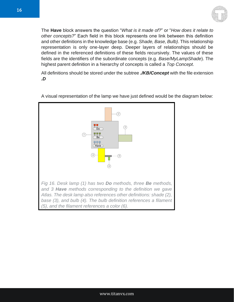

The **Have** block answers the question "*What is it made of?*" or "*How does it relate to other concepts?*" Each field in this block represents one link between this definition and other definitions in the knowledge base (e.g. *Shade, Base, Bulb)*. This relationship representation is only one-layer deep. Deeper layers of relationships should be defined in the referenced definitions of these fields recursively. The values of these fields are the identifiers of the subordinate concepts (e.g. *Base/MyLampShade*). The highest parent definition in a hierarchy of concepts is called a *Top Concept*.

All definitions should be stored under the subtree *./KB/Concept* with the file extension *.D*



A visual representation of the lamp we have just defined would be the diagram below: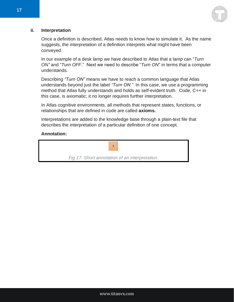

#### **ii. Interpretation**

Once a definition is described, Atlas needs to know how to simulate it. As the name suggests, the interpretation of a definition interprets what might have been conveyed.

In our example of a desk lamp we have described to Atlas that a lamp can "*Turn ON"* and "*Turn OFF*." Next we need to describe "*Turn ON*" in terms that a computer understands.

Describing *"Turn ON"* means we have to reach a common language that Atlas understands beyond just the label *"Turn ON."* In this case, we use a programming method that Atlas fully understands and holds as self-evident truth. Code, C++ in this case, is axiomatic; it no longer requires further interpretation.

In Atlas cognitive environments, all methods that represent states, functions, or relationships that are defined in code are called **axioms.**

Interpretations are added to the knowledge base through a plain-text file that describes the interpretation of a particular definition of one concept.

#### **Annotation:**

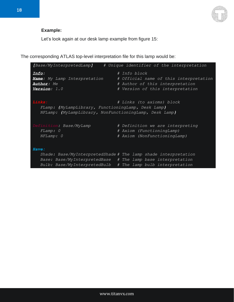

### **Example:**

Let's look again at our desk lamp example from figure 15:

The corresponding ATLAS top-level interpretation file for this lamp would be:

| [Base/MyInterpretedLamp]<br># Unique identifier of the interpretation                                                                               |                                                                                                                                                                                              |  |  |  |  |  |  |
|-----------------------------------------------------------------------------------------------------------------------------------------------------|----------------------------------------------------------------------------------------------------------------------------------------------------------------------------------------------|--|--|--|--|--|--|
| <u>Info:</u><br>Name: My Lamp Interpretation<br>Author: Me<br><b>Version:</b> 1.0                                                                   | # Info block<br># Official name of this interpretation<br># Author of this interpretation<br># Version of this interpretation                                                                |  |  |  |  |  |  |
| Links:<br># Links (to axioms) block<br>FLamp: (MyLampLibrary, FunctioningLamp, Desk Lamp)<br>NFLamp: [MyLampLibrary, NonFunctioningLamp, Desk Lamp] |                                                                                                                                                                                              |  |  |  |  |  |  |
| Definition: Base/MyLamp<br>FLamp: 0<br>NFLamp: 0                                                                                                    | # Definition we are interpreting<br># Axiom (FunctioningLamp)<br># Axiom (NonFunctioningLamp)                                                                                                |  |  |  |  |  |  |
| Have:                                                                                                                                               |                                                                                                                                                                                              |  |  |  |  |  |  |
|                                                                                                                                                     | Shade: Base/MyInterpretedShade # The lamp shade interpretation<br>Base: Base/MyInterpretedBase # The lamp base interpretation<br>Bulb: Base/MyInterpretedBulb # The lamp bulb interpretation |  |  |  |  |  |  |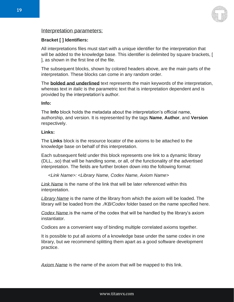

#### Interpretation parameters:

#### **Bracket [ ] Identifiers:**

All interpretations files must start with a unique identifier for the interpretation that will be added to the knowledge base. This identifier is delimited by square brackets, [ ], as shown in the first line of the file.

The subsequent blocks, shown by colored headers above, are the main parts of the interpretation. These blocks can come in any random order.

The **bolded and underlined** text represents the main keywords of the interpretation, whereas text in *italic* is the parametric text that is interpretation dependent and is provided by the interpretation's author.

#### **Info:**

The **Info** block holds the metadata about the interpretation's official name, authorship, and version. It is represented by the tags **Name**, **Author**, and **Version** respectively.

#### **Links:**

The **Links** block is the resource locator of the axioms to be attached to the knowledge base on behalf of this interpretation.

Each subsequent field under this block represents one link to a dynamic library (DLL, .so) that will be handling some, or all, of the functionality of the advertised interpretation. The fields are further broken down into the following format:

*<Link Name>: <Library Name, Codex Name, Axiom Name>* 

*Link Name* is the name of the link that will be later referenced within this interpretation.

*Library Name* is the name of the library from which the axiom will be loaded. The library will be loaded from the *./KB/Codex* folder based on the name specified here.

*Codex Name* is the name of the codex that will be handled by the library's axiom instantiator.

Codices are a convenient way of binding multiple correlated axioms together.

It is possible to put all axioms of a knowledge base under the same codex in one library, but we recommend splitting them apart as a good software development practice.

*Axiom Name* is the name of the axiom that will be mapped to this link.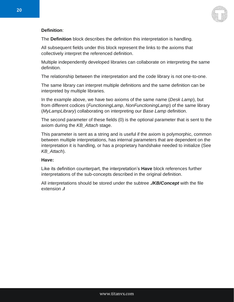

#### **Definition**:

The **Definition** block describes the definition this interpretation is handling.

All subsequent fields under this block represent the links to the axioms that collectively interpret the referenced definition.

Multiple independently developed libraries can collaborate on interpreting the same definition.

The relationship between the interpretation and the code library is not one-to-one.

The same library can interpret multiple definitions and the same definition can be interpreted by multiple libraries.

In the example above, we have two axioms of the same name (*Desk Lamp*), but from different codices (*FunctioningLamp*, *NonFunctioningLamp*) of the same library (*MyLampLibrary*) collaborating on interpreting our *Base Lamp* definition.

The second parameter of these fields (0) is the optional parameter that is sent to the axiom during the *KB\_Attach* stage.

This parameter is sent as a string and is useful if the axiom is polymorphic, common between multiple interpretations, has internal parameters that are dependent on the interpretation it is handling, or has a proprietary handshake needed to initialize (See *KB\_Attach*).

#### **Have:**

Like its definition counterpart, the interpretation's **Have** block references further interpretations of the sub-concepts described in the original definition.

All interpretations should be stored under the subtree *./KB/Concept* with the file extension *.I*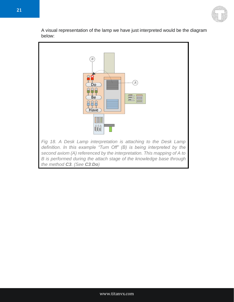

A visual representation of the lamp we have just interpreted would be the diagram below:

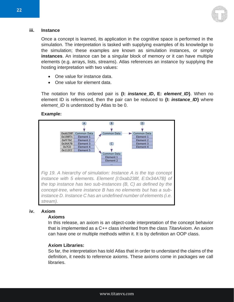

#### **iii. Instance**

Once a concept is learned, its application in the cognitive space is performed in the simulation. The interpretation is tasked with supplying examples of its knowledge to the simulation; these examples are known as simulation instances, or simply **instances**. An instance can be a singular block of memory or it can have multiple elements (e.g. arrays, lists, streams). Atlas references an instance by supplying the hosting interpretation with two values:

- One value for instance data.
- One value for element data.

The notation for this ordered pair is **{I:** *instance\_ID***, E:** *element\_ID***}**. When no element ID is referenced, then the pair can be reduced to **{I:** *instance\_ID***}** where *element ID* is understood by Atlas to be 0.

#### **Example:**



#### **iv. Axiom**

#### **Axioms**

In this release, an axiom is an object-code interpretation of the concept behavior that is implemented as a C++ class inherited from the class *TitanAxiom*. An axiom can have one or multiple methods within it. It is by definition an OOP class.

#### **Axiom Libraries:**

So far, the interpretation has told Atlas that in order to understand the claims of the definition, it needs to reference axioms. These axioms come in packages we call libraries.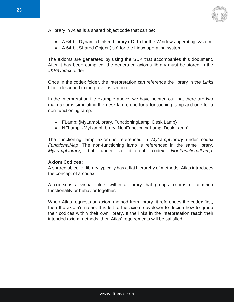

A library in Atlas is a shared object code that can be:

- A 64-bit Dynamic Linked Library (.DLL) for the Windows operating system.
- A 64-bit Shared Object (.so) for the Linux operating system.

The axioms are generated by using the SDK that accompanies this document. After it has been compiled, the generated axioms library must be stored in the ./*KB/Codex* folder.

Once in the codex folder, the interpretation can reference the library in the *Links* block described in the previous section.

In the interpretation file example above, we have pointed out that there are two main axioms simulating the desk lamp, one for a functioning lamp and one for a non-functioning lamp.

- FLamp: {MyLampLibrary, FunctioningLamp, Desk Lamp}
- NFLamp: {MyLampLibrary, NonFunctioningLamp, Desk Lamp}

The functioning lamp axiom is referenced in *MyLampLibrary* under codex *FunctionalMap*. The non-functioning lamp is referenced in the same library, *MyLampLibrary*, but under a different codex *NonFunctionalLamp*.

#### **Axiom Codices:**

A shared object or library typically has a flat hierarchy of methods. Atlas introduces the concept of a codex.

A codex is a virtual folder within a library that groups axioms of common functionality or behavior together.

When Atlas requests an axiom method from library, it references the codex first, then the axiom's name. It is left to the axiom developer to decide how to group their codices within their own library. If the links in the interpretation reach their intended axiom methods, then Atlas' requirements will be satisfied.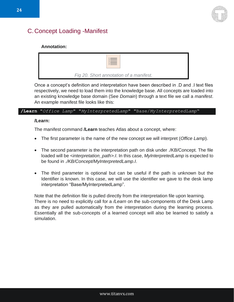

### <span id="page-23-0"></span>C.Concept Loading -Manifest

#### **Annotation:**



*Fig 20. Short annotation of a manifest.*

Once a concept's definition and interpretation have been described in .D and .I text files respectively, we need to load them into the knowledge base. All concepts are loaded into an existing knowledge base domain (See *Domain*) through a text file we call a *manifest*. An example manifest file looks like this:

#### **/Learn** "*Office Lamp*" "*MyInterpretedLamp*" "Base/*MyInterpretedLamp*"

#### **/Learn:**

The manifest command **/Learn** teaches Atlas about a concept, where:

- The first parameter is the name of the new concept we will interpret (*Office Lamp*).
- The second parameter is the interpretation path on disk under ./KB/Concept. The file loaded will be *<interpretation\_path>.I*. In this case, *MyInterpretedLamp* is expected to be found in *./KB/Concept/MyInterpretedLamp.I*.
- The third parameter is optional but can be useful if the path is unknown but the Identifier is known. In this case, we will use the identifier we gave to the desk lamp interpretation "Base/MyInterpretedLamp".

Note that the definition file is pulled directly from the interpretation file upon learning. There is no need to explicitly call for a */Learn* on the sub-components of the Desk Lamp as they are pulled automatically from the interpretation during the learning process. Essentially all the sub-concepts of a learned concept will also be learned to satisfy a simulation.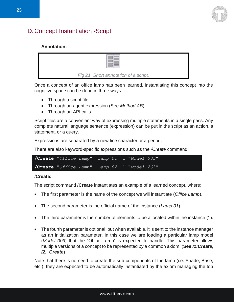

### <span id="page-24-0"></span>D.Concept Instantiation -Script

#### **Annotation:**



Once a concept of an office lamp has been learned, instantiating this concept into the cognitive space can be done in three ways:

- Through a script file.
- Through an agent expression (See *Method AB*).
- Through an API calls.

Script files are a convenient way of expressing multiple statements in a single pass. Any complete natural language sentence (expression) can be put in the script as an action, a statement, or a query.

Expressions are separated by a new line character or a period.

There are also keyword-specific expressions such as the */Create* command:

| /Create "Office Lamp" "Lamp 01" 1 "Model 003" |  |  |  |
|-----------------------------------------------|--|--|--|
| /Create "Office Lamp" "Lamp 02" 1 "Model 263" |  |  |  |

#### **/Create:**

The script command **/Create** instantiates an example of a learned concept, where:

- The first parameter is the name of the concept we will instantiate (*Office Lamp*).
- The second parameter is the official name of the instance (*Lamp 01*).
- The third parameter is the number of elements to be allocated within the instance (1).
- The fourth parameter is optional, but when available, it is sent to the instance manager as an initialization parameter. In this case we are loading a particular lamp model (*Model 003*) that the "Office Lamp" is expected to handle. This parameter allows multiple versions of a concept to be represented by a common axiom. (**See** *I1:Create***,**  *I2:\_Create*)

Note that there is no need to create the sub-components of the lamp (i.e. Shade, Base, etc.); they are expected to be automatically instantiated by the axiom managing the top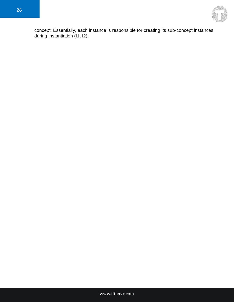

concept. Essentially, each instance is responsible for creating its sub-concept instances during instantiation (I1, I2).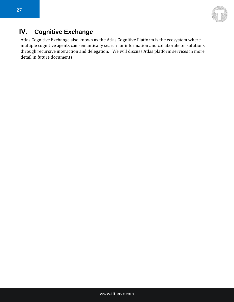

# <span id="page-26-0"></span>**IV. Cognitive Exchange**

Atlas Cognitive Exchange also known as the Atlas Cognitive Platform is the ecosystem where multiple cognitive agents can semantically search for information and collaborate on solutions through recursive interaction and delegation. We will discuss Atlas platform services in more detail in future documents.